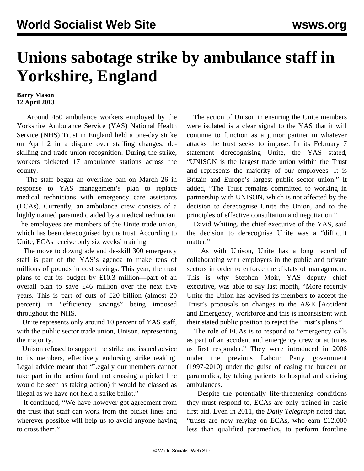## **Unions sabotage strike by ambulance staff in Yorkshire, England**

## **Barry Mason 12 April 2013**

 Around 450 ambulance workers employed by the Yorkshire Ambulance Service (YAS) National Health Service (NHS) Trust in England held a one-day strike on April 2 in a dispute over staffing changes, deskilling and trade union recognition. During the strike, workers picketed 17 ambulance stations across the county.

 The staff began an overtime ban on March 26 in response to YAS management's plan to replace medical technicians with emergency care assistants (ECAs). Currently, an ambulance crew consists of a highly trained paramedic aided by a medical technician. The employees are members of the Unite trade union, which has been derecognised by the trust. According to Unite, ECAs receive only six weeks' training.

 The move to downgrade and de-skill 300 emergency staff is part of the YAS's agenda to make tens of millions of pounds in cost savings. This year, the trust plans to cut its budget by £10.3 million—part of an overall plan to save £46 million over the next five years. This is part of cuts of £20 billion (almost 20 percent) in "efficiency savings" being imposed throughout the NHS.

 Unite represents only around 10 percent of YAS staff, with the public sector trade union, Unison, representing the majority.

 Unison refused to support the strike and issued advice to its members, effectively endorsing strikebreaking. Legal advice meant that "Legally our members cannot take part in the action (and not crossing a picket line would be seen as taking action) it would be classed as illegal as we have not held a strike ballot."

 It continued, "We have however got agreement from the trust that staff can work from the picket lines and wherever possible will help us to avoid anyone having to cross them."

 The action of Unison in ensuring the Unite members were isolated is a clear signal to the YAS that it will continue to function as a junior partner in whatever attacks the trust seeks to impose. In its February 7 statement derecognising Unite, the YAS stated, "UNISON is the largest trade union within the Trust and represents the majority of our employees. It is Britain and Europe's largest public sector union." It added, "The Trust remains committed to working in partnership with UNISON, which is not affected by the decision to derecognise Unite the Union, and to the principles of effective consultation and negotiation."

 David Whiting, the chief executive of the YAS, said the decision to derecognise Unite was a "difficult matter."

 As with Unison, Unite has a long record of collaborating with employers in the public and private sectors in order to enforce the diktats of management. This is why Stephen Moir, YAS deputy chief executive, was able to say last month, "More recently Unite the Union has advised its members to accept the Trust's proposals on changes to the A&E [Accident and Emergency] workforce and this is inconsistent with their stated public position to reject the Trust's plans."

 The role of ECAs is to respond to "emergency calls as part of an accident and emergency crew or at times as first responder." They were introduced in 2006 under the previous Labour Party government (1997-2010) under the guise of easing the burden on paramedics, by taking patients to hospital and driving ambulances.

 Despite the potentially life-threatening conditions they must respond to, ECAs are only trained in basic first aid. Even in 2011, the *Daily Telegraph* noted that, "trusts are now relying on ECAs, who earn £12,000 less than qualified paramedics, to perform frontline